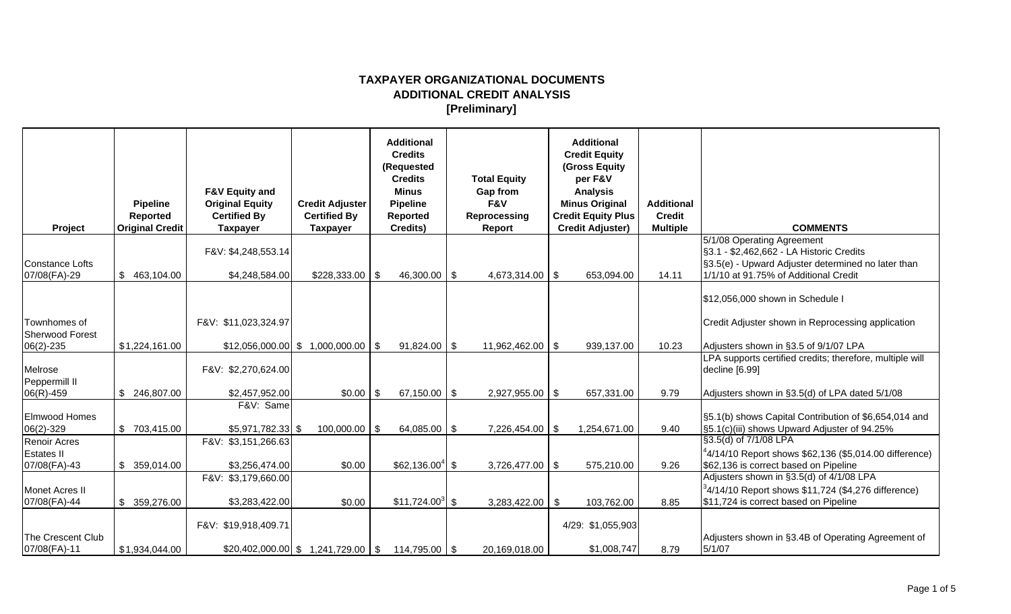| Project                                             | <b>Pipeline</b><br><b>Reported</b><br><b>Original Credit</b> | <b>F&amp;V Equity and</b><br><b>Original Equity</b><br><b>Certified By</b><br><b>Taxpayer</b> | <b>Credit Adjuster</b><br><b>Certified By</b><br><b>Taxpayer</b> | <b>Additional</b><br><b>Credits</b><br>(Requested<br><b>Credits</b><br><b>Minus</b><br><b>Pipeline</b><br>Reported<br>Credits) |  | <b>Total Equity</b><br>Gap from<br>F&V<br>Reprocessing<br>Report |  | <b>Additional</b><br><b>Credit Equity</b><br><b>(Gross Equity</b><br>per F&V<br><b>Analysis</b><br><b>Minus Original</b><br><b>Credit Equity Plus</b><br><b>Credit Adjuster)</b> | <b>Additional</b><br><b>Credit</b><br><b>Multiple</b> | <b>COMMENTS</b>                                                                                                                                                       |
|-----------------------------------------------------|--------------------------------------------------------------|-----------------------------------------------------------------------------------------------|------------------------------------------------------------------|--------------------------------------------------------------------------------------------------------------------------------|--|------------------------------------------------------------------|--|----------------------------------------------------------------------------------------------------------------------------------------------------------------------------------|-------------------------------------------------------|-----------------------------------------------------------------------------------------------------------------------------------------------------------------------|
| Constance Lofts<br>07/08(FA)-29                     | \$463,104.00                                                 | F&V: \$4,248,553.14<br>\$4,248,584.00                                                         | \$228,333.00                                                     | 46,300.00<br>-\$                                                                                                               |  | \$<br>4,673,314.00 \$                                            |  | 653,094.00                                                                                                                                                                       | 14.11                                                 | 5/1/08 Operating Agreement<br>§3.1 - \$2,462,662 - LA Historic Credits<br>§3.5(e) - Upward Adjuster determined no later than<br>1/1/10 at 91.75% of Additional Credit |
| Townhomes of<br><b>Sherwood Forest</b><br>06(2)-235 | \$1,224,161.00                                               | F&V: \$11,023,324.97                                                                          | $$12,056,000.00$ \$ 1,000,000.00 \$                              | 91,824.00                                                                                                                      |  | <b>\$</b><br>11,962,462.00 \$                                    |  | 939,137.00                                                                                                                                                                       | 10.23                                                 | \$12,056,000 shown in Schedule I<br>Credit Adjuster shown in Reprocessing application<br>Adjusters shown in §3.5 of 9/1/07 LPA                                        |
| Melrose<br>Peppermill II<br>06(R)-459               | \$ 246,807.00                                                | F&V: \$2,270,624.00<br>\$2,457,952.00                                                         | $$0.00$ \ \$                                                     | $67,150.00$ \ \$                                                                                                               |  | $2,927,955.00$ \$                                                |  | 657,331.00                                                                                                                                                                       | 9.79                                                  | LPA supports certified credits; therefore, multiple will<br>decline [6.99]<br>Adjusters shown in §3.5(d) of LPA dated 5/1/08                                          |
| Elmwood Homes<br>06(2)-329                          | \$703,415.00                                                 | F&V: Same<br>$$5,971,782.33$ \\$                                                              | $100,000.00$ \$                                                  | 64,085.00                                                                                                                      |  | $\sqrt[6]{3}$<br>7,226,454.00 \$                                 |  | 1,254,671.00                                                                                                                                                                     | 9.40                                                  | S5.1(b) shows Capital Contribution of \$6,654,014 and<br>§5.1(c)(iii) shows Upward Adjuster of 94.25%<br>§3.5(d) of 7/1/08 LPA                                        |
| Renoir Acres<br><b>Estates II</b><br>07/08(FA)-43   | \$359,014.00                                                 | F&V: \$3,151,266.63<br>\$3,256,474.00                                                         | \$0.00                                                           | $$62,136.00^{4}$ \$                                                                                                            |  | $3,726,477.00$ \$                                                |  | 575,210.00                                                                                                                                                                       | 9.26                                                  | $4/14/10$ Report shows \$62,136 (\$5,014.00 difference)<br>\$62,136 is correct based on Pipeline<br>Adjusters shown in §3.5(d) of 4/1/08 LPA                          |
| Monet Acres II<br>07/08(FA)-44                      | \$359,276.00                                                 | F&V: \$3,179,660.00<br>\$3,283,422.00                                                         | \$0.00                                                           | $$11,724.00^{3}$ \$                                                                                                            |  | $3,283,422.00$ \$                                                |  | 103,762.00                                                                                                                                                                       | 8.85                                                  | $34/14/10$ Report shows \$11,724 (\$4,276 difference)<br>\$11,724 is correct based on Pipeline                                                                        |
| The Crescent Club<br>07/08(FA)-11                   | \$1,934,044.00                                               | F&V: \$19,918,409.71                                                                          | $$20,402,000.00]$ \$ 1,241,729.00 \ \$                           | 114,795.00                                                                                                                     |  | - \$<br>20,169,018.00                                            |  | 4/29: \$1,055,903<br>\$1,008,747                                                                                                                                                 | 8.79                                                  | Adjusters shown in §3.4B of Operating Agreement of<br>5/1/07                                                                                                          |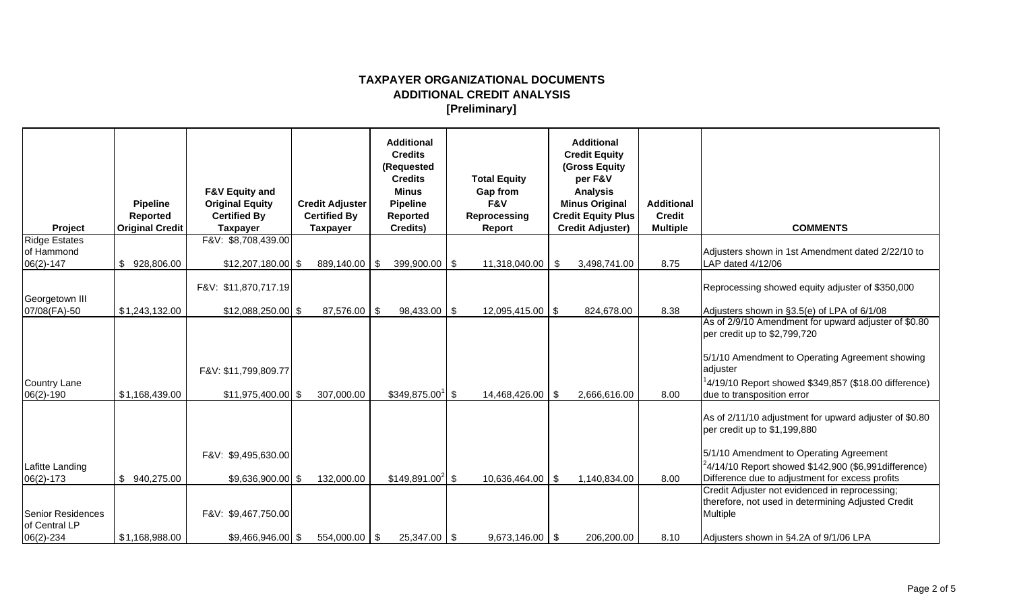|                                                 | <b>Pipeline</b>                           | <b>F&amp;V Equity and</b><br><b>Original Equity</b> | <b>Credit Adjuster</b>                 | <b>Additional</b><br><b>Credits</b><br>(Requested<br><b>Credits</b><br>Minus<br><b>Pipeline</b> | <b>Total Equity</b><br>Gap from<br>F&V | <b>Additional</b><br><b>Credit Equity</b><br><b>(Gross Equity</b><br>per F&V<br><b>Analysis</b><br><b>Minus Original</b> | <b>Additional</b>                |                                                                                                                                                                                                                                                    |
|-------------------------------------------------|-------------------------------------------|-----------------------------------------------------|----------------------------------------|-------------------------------------------------------------------------------------------------|----------------------------------------|--------------------------------------------------------------------------------------------------------------------------|----------------------------------|----------------------------------------------------------------------------------------------------------------------------------------------------------------------------------------------------------------------------------------------------|
| Project                                         | <b>Reported</b><br><b>Original Credit</b> | <b>Certified By</b><br><b>Taxpayer</b>              | <b>Certified By</b><br><b>Taxpayer</b> | Reported<br>Credits)                                                                            | Reprocessing<br>Report                 | <b>Credit Equity Plus</b><br><b>Credit Adjuster)</b>                                                                     | <b>Credit</b><br><b>Multiple</b> | <b>COMMENTS</b>                                                                                                                                                                                                                                    |
| <b>Ridge Estates</b><br>of Hammond<br>06(2)-147 | \$928,806.00                              | F&V: \$8,708,439.00<br>$$12,207,180.00$ \\$         | 889,140.00 \$                          | $399,900.00$ \\$                                                                                | 11,318,040.00 \$                       | 3,498,741.00                                                                                                             | 8.75                             | Adjusters shown in 1st Amendment dated 2/22/10 to<br>LAP dated 4/12/06                                                                                                                                                                             |
| Georgetown III<br>07/08(FA)-50                  | \$1,243,132.00                            | F&V: \$11,870,717.19<br>$$12,088,250.00$ \\$        | 87,576.00 \$                           |                                                                                                 | 12,095,415.00 \$                       | 824,678.00                                                                                                               | 8.38                             | Reprocessing showed equity adjuster of \$350,000<br>Adjusters shown in §3.5(e) of LPA of 6/1/08                                                                                                                                                    |
| <b>Country Lane</b><br>06(2)-190                | \$1,168,439.00                            | F&V: \$11,799,809.77<br>$$11,975,400.00$ \$         | 307,000.00                             | $98,433.00$ \$<br>$$349,875.00$ <sup>1</sup> \\$                                                | 14,468,426.00 \$                       | 2,666,616.00                                                                                                             | 8.00                             | As of 2/9/10 Amendment for upward adjuster of \$0.80<br>per credit up to \$2,799,720<br>5/1/10 Amendment to Operating Agreement showing<br>adjuster<br>$14/19/10$ Report showed \$349,857 (\$18.00 difference)<br>due to transposition error       |
| Lafitte Landing<br>$06(2) - 173$                | \$940,275.00                              | F&V: \$9,495,630.00<br>$$9,636,900.00$ \$           | 132,000.00                             | $$149,891.00^{2}$ \$                                                                            | 10,636,464.00 \$                       | 1,140,834.00                                                                                                             | 8.00                             | As of 2/11/10 adjustment for upward adjuster of \$0.80<br>per credit up to \$1,199,880<br>5/1/10 Amendment to Operating Agreement<br>$^{2}4/14/10$ Report showed \$142,900 (\$6,991 difference)<br>Difference due to adjustment for excess profits |
| Senior Residences<br>of Central LP<br>06(2)-234 | \$1,168,988.00                            | F&V: \$9,467,750.00<br>$$9,466,946.00$ \\$          | 554,000.00 \$                          | $25,347.00$ \\$                                                                                 | $9,673,146.00$ \$                      | 206,200.00                                                                                                               | 8.10                             | Credit Adjuster not evidenced in reprocessing;<br>therefore, not used in determining Adjusted Credit<br>Multiple<br>Adjusters shown in §4.2A of 9/1/06 LPA                                                                                         |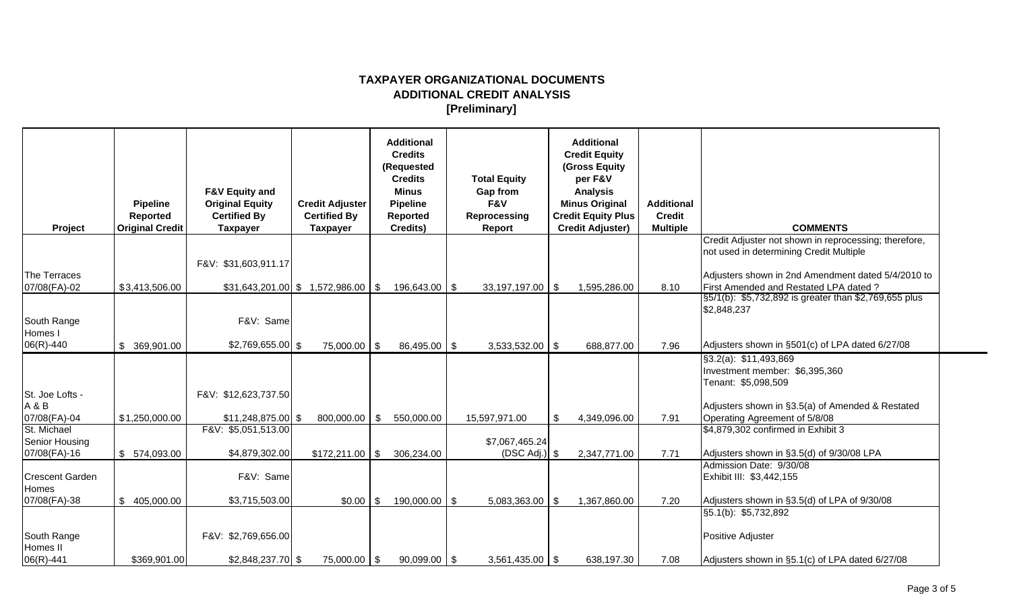| Project                                         | <b>Pipeline</b><br><b>Reported</b><br><b>Original Credit</b> | <b>F&amp;V Equity and</b><br><b>Original Equity</b><br><b>Certified By</b><br><b>Taxpayer</b> | <b>Credit Adjuster</b><br><b>Certified By</b><br><b>Taxpayer</b> | <b>Additional</b><br><b>Credits</b><br>(Requested<br><b>Credits</b><br><b>Minus</b><br><b>Pipeline</b><br><b>Reported</b><br>Credits) | <b>Total Equity</b><br>Gap from<br>F&V<br>Reprocessing<br>Report | <b>Additional</b><br><b>Credit Equity</b><br><b>(Gross Equity</b><br>per F&V<br><b>Analysis</b><br><b>Minus Original</b><br><b>Credit Equity Plus</b><br><b>Credit Adjuster)</b> | <b>Additional</b><br><b>Credit</b><br><b>Multiple</b> | <b>COMMENTS</b>                                                                                                                                                                                 |
|-------------------------------------------------|--------------------------------------------------------------|-----------------------------------------------------------------------------------------------|------------------------------------------------------------------|---------------------------------------------------------------------------------------------------------------------------------------|------------------------------------------------------------------|----------------------------------------------------------------------------------------------------------------------------------------------------------------------------------|-------------------------------------------------------|-------------------------------------------------------------------------------------------------------------------------------------------------------------------------------------------------|
| The Terraces<br>07/08(FA)-02                    | \$3,413,506.00                                               | F&V: \$31,603,911.17                                                                          | \$31,643,201.00 \$ 1,572,986.00                                  | 196,643.00 \\$<br>- \$                                                                                                                | 33,197,197.00 \$                                                 | 1,595,286.00                                                                                                                                                                     | 8.10                                                  | Credit Adjuster not shown in reprocessing; therefore,<br>not used in determining Credit Multiple<br>Adjusters shown in 2nd Amendment dated 5/4/2010 to<br>First Amended and Restated LPA dated? |
| South Range<br>Homes I<br>06(R)-440             | \$369,901.00                                                 | F&V: Same<br>$$2,769,655.00$ \ \$                                                             | 75,000.00 \$                                                     | 86,495.00 \$                                                                                                                          | $3,533,532.00$ \$                                                | 688,877.00                                                                                                                                                                       | 7.96                                                  | §5/1(b): \$5,732,892 is greater than \$2,769,655 plus<br>\$2,848,237<br>Adjusters shown in §501(c) of LPA dated 6/27/08                                                                         |
| St. Joe Lofts -<br>A & B<br>07/08(FA)-04        | \$1,250,000.00                                               | F&V: \$12,623,737.50<br>$$11,248,875.00$ \\$                                                  | 800,000.00                                                       | - \$<br>550,000.00                                                                                                                    | 15,597,971.00                                                    | \$<br>4,349,096.00                                                                                                                                                               | 7.91                                                  | §3.2(a): \$11,493,869<br>Investment member: \$6,395,360<br>Tenant: \$5,098,509<br>Adjusters shown in §3.5(a) of Amended & Restated<br>Operating Agreement of 5/8/08                             |
| St. Michael<br>Senior Housing<br>07/08(FA)-16   | \$ 574,093.00                                                | F&V: \$5,051,513.00<br>\$4,879,302.00                                                         | $$172,211.00$ \ \\$                                              | 306,234.00                                                                                                                            | \$7,067,465.24<br>$(DSC Adj.)$ \$                                | 2,347,771.00                                                                                                                                                                     | 7.71                                                  | \$4,879,302 confirmed in Exhibit 3<br>Adjusters shown in §3.5(d) of 9/30/08 LPA                                                                                                                 |
| <b>Crescent Garden</b><br>Homes<br>07/08(FA)-38 | \$405,000.00                                                 | F&V: Same<br>\$3,715,503.00                                                                   | $$0.00$ \ \$                                                     | 190,000.00 \$                                                                                                                         | $5,083,363.00$ \$                                                | 1,367,860.00                                                                                                                                                                     | 7.20                                                  | Admission Date: 9/30/08<br>Exhibit III: \$3,442,155<br>Adjusters shown in §3.5(d) of LPA of 9/30/08                                                                                             |
| South Range<br>Homes II<br>06(R)-441            | \$369,901.00                                                 | F&V: \$2,769,656.00<br>$$2,848,237.70$ \\$                                                    | 75,000.00 \$                                                     | $90,099.00$ \\$                                                                                                                       | $3,561,435.00$ \$                                                | 638,197.30                                                                                                                                                                       | 7.08                                                  | §5.1(b): \$5,732,892<br>Positive Adjuster<br>Adjusters shown in §5.1(c) of LPA dated 6/27/08                                                                                                    |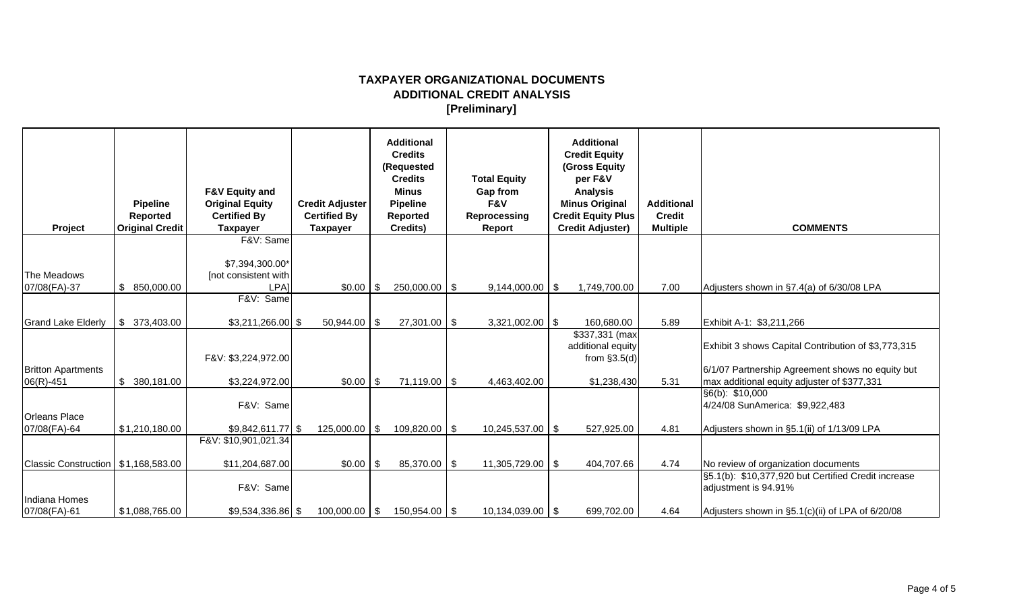| Project                                | <b>Pipeline</b><br><b>Reported</b><br><b>Original Credit</b> | <b>F&amp;V Equity and</b><br><b>Original Equity</b><br><b>Certified By</b><br><b>Taxpayer</b> | <b>Credit Adjuster</b><br><b>Certified By</b><br><b>Taxpayer</b> | <b>Additional</b><br><b>Credits</b><br>(Requested<br><b>Credits</b><br><b>Minus</b><br><b>Pipeline</b><br><b>Reported</b><br>Credits) |                   |            | <b>Total Equity</b><br>Gap from<br>F&V<br>Reprocessing<br>Report |  | <b>Additional</b><br><b>Credit Equity</b><br><b>(Gross Equity</b><br>per F&V<br><b>Analysis</b><br><b>Minus Original</b><br><b>Credit Equity Plus</b><br><b>Credit Adjuster)</b> | <b>Additional</b><br><b>Credit</b><br><b>Multiple</b> | <b>COMMENTS</b>                                                                                 |
|----------------------------------------|--------------------------------------------------------------|-----------------------------------------------------------------------------------------------|------------------------------------------------------------------|---------------------------------------------------------------------------------------------------------------------------------------|-------------------|------------|------------------------------------------------------------------|--|----------------------------------------------------------------------------------------------------------------------------------------------------------------------------------|-------------------------------------------------------|-------------------------------------------------------------------------------------------------|
|                                        |                                                              | F&V: Same                                                                                     |                                                                  |                                                                                                                                       |                   |            |                                                                  |  |                                                                                                                                                                                  |                                                       |                                                                                                 |
| The Meadows<br>07/08(FA)-37            | \$<br>850,000.00                                             | \$7,394,300.00*<br>[not consistent with]<br>LPA <sub>l</sub>                                  | $$0.00$ \ \$                                                     |                                                                                                                                       | 250,000.00 \$     |            | $9,144,000.00$ \$                                                |  | 1,749,700.00                                                                                                                                                                     | 7.00                                                  | Adjusters shown in §7.4(a) of 6/30/08 LPA                                                       |
|                                        |                                                              | F&V: Same                                                                                     |                                                                  |                                                                                                                                       |                   |            |                                                                  |  |                                                                                                                                                                                  |                                                       |                                                                                                 |
| <b>Grand Lake Elderly</b>              | 373,403.00<br>\$                                             | $$3,211,266.00$ \\$                                                                           | 50,944.00                                                        | -\$                                                                                                                                   | 27,301.00         | \$         | $3,321,002.00$ \\$                                               |  | 160,680.00                                                                                                                                                                       | 5.89                                                  | Exhibit A-1: \$3,211,266                                                                        |
|                                        |                                                              | F&V: \$3,224,972.00                                                                           |                                                                  |                                                                                                                                       |                   |            |                                                                  |  | $\sqrt{$337,331}$ (max<br>additional equity<br>from $§3.5(d)$                                                                                                                    |                                                       | Exhibit 3 shows Capital Contribution of \$3,773,315                                             |
| <b>Britton Apartments</b><br>06(R)-451 | \$<br>380,181.00                                             | \$3,224,972.00                                                                                | $$0.00$ \ \$                                                     |                                                                                                                                       | $71,119.00$ \$    |            | 4,463,402.00                                                     |  | \$1,238,430                                                                                                                                                                      | 5.31                                                  | 6/1/07 Partnership Agreement shows no equity but<br>max additional equity adjuster of \$377,331 |
| <b>Orleans Place</b>                   |                                                              | F&V: Same                                                                                     |                                                                  |                                                                                                                                       |                   |            |                                                                  |  |                                                                                                                                                                                  |                                                       | §6(b): \$10,000<br>4/24/08 SunAmerica: \$9,922,483                                              |
| 07/08(FA)-64                           | \$1,210,180.00                                               | $$9,842,611.77$ \\$                                                                           | 125,000.00                                                       | -\$                                                                                                                                   | 109,820.00        | $\sqrt{3}$ | 10,245,537.00 \$                                                 |  | 527,925.00                                                                                                                                                                       | 4.81                                                  | Adjusters shown in §5.1(ii) of 1/13/09 LPA                                                      |
|                                        |                                                              | F&V: \$10,901,021.34                                                                          |                                                                  |                                                                                                                                       |                   |            |                                                                  |  |                                                                                                                                                                                  |                                                       |                                                                                                 |
| Classic Construction   \$1,168,583.00  |                                                              | \$11,204,687.00                                                                               | $$0.00$ \ \$                                                     |                                                                                                                                       | 85,370.00         | $\sqrt{3}$ | 11,305,729.00 \$                                                 |  | 404,707.66                                                                                                                                                                       | 4.74                                                  | No review of organization documents                                                             |
| Indiana Homes                          |                                                              | F&V: Same                                                                                     |                                                                  |                                                                                                                                       |                   |            |                                                                  |  |                                                                                                                                                                                  |                                                       | S5.1(b): \$10,377,920 but Certified Credit increase<br>adjustment is 94.91%                     |
| 07/08(FA)-61                           | \$1,088,765.00                                               | $$9,534,336.86$ \$                                                                            | $100,000.00$ \$                                                  |                                                                                                                                       | $150,954.00$ \ \$ |            | 10,134,039.00 \$                                                 |  | 699,702.00                                                                                                                                                                       | 4.64                                                  | Adjusters shown in §5.1(c)(ii) of LPA of 6/20/08                                                |